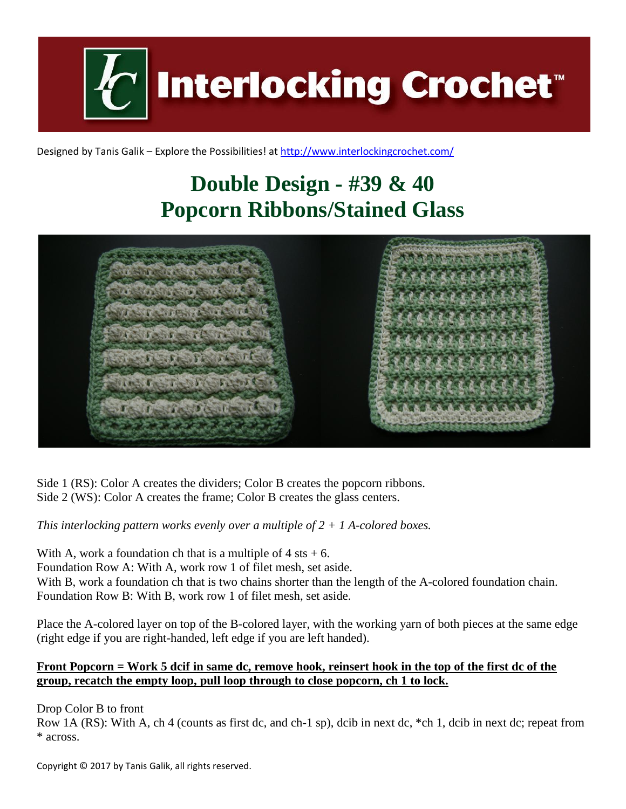**Interlocking Crochet** 

Designed by Tanis Galik – Explore the Possibilities! a[t http://www.interlockingcrochet.com/](http://www.interlockingcrochet.com/)

## **Double Design - #39 & 40 Popcorn Ribbons/Stained Glass**



Side 1 (RS): Color A creates the dividers; Color B creates the popcorn ribbons. Side 2 (WS): Color A creates the frame; Color B creates the glass centers.

*This interlocking pattern works evenly over a multiple of 2 + 1 A-colored boxes.*

With A, work a foundation ch that is a multiple of  $4$  sts  $+ 6$ . Foundation Row A: With A, work row 1 of filet mesh, set aside. With B, work a foundation ch that is two chains shorter than the length of the A-colored foundation chain. Foundation Row B: With B, work row 1 of filet mesh, set aside.

Place the A-colored layer on top of the B-colored layer, with the working yarn of both pieces at the same edge (right edge if you are right-handed, left edge if you are left handed).

## **Front Popcorn = Work 5 dcif in same dc, remove hook, reinsert hook in the top of the first dc of the group, recatch the empty loop, pull loop through to close popcorn, ch 1 to lock.**

Drop Color B to front

Row 1A (RS): With A, ch 4 (counts as first dc, and ch-1 sp), dcib in next dc, \*ch 1, dcib in next dc; repeat from \* across.

Copyright © 2017 by Tanis Galik, all rights reserved.